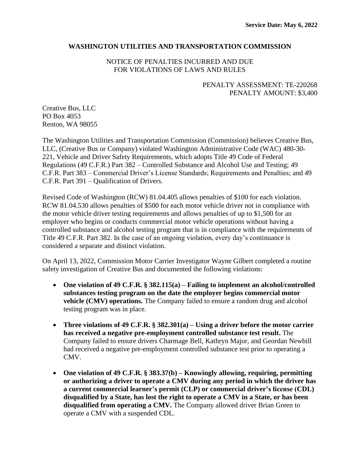## **WASHINGTON UTILITIES AND TRANSPORTATION COMMISSION**

# NOTICE OF PENALTIES INCURRED AND DUE FOR VIOLATIONS OF LAWS AND RULES

# PENALTY ASSESSMENT: TE-220268 PENALTY AMOUNT: \$3,400

Creative Bus, LLC PO Box 4053 Renton, WA 98055

The Washington Utilities and Transportation Commission (Commission) believes Creative Bus, LLC, (Creative Bus or Company) violated Washington Administrative Code (WAC) 480-30- 221, Vehicle and Driver Safety Requirements, which adopts Title 49 Code of Federal Regulations (49 C.F.R.) Part 382 – Controlled Substance and Alcohol Use and Testing; 49 C.F.R. Part 383 – Commercial Driver's License Standards; Requirements and Penalties; and 49 C.F.R. Part 391 – Qualification of Drivers.

Revised Code of Washington (RCW) 81.04.405 allows penalties of \$100 for each violation. RCW 81.04.530 allows penalties of \$500 for each motor vehicle driver not in compliance with the motor vehicle driver testing requirements and allows penalties of up to \$1,500 for an employer who begins or conducts commercial motor vehicle operations without having a controlled substance and alcohol testing program that is in compliance with the requirements of Title 49 C.F.R. Part 382. In the case of an ongoing violation, every day's continuance is considered a separate and distinct violation.

On April 13, 2022, Commission Motor Carrier Investigator Wayne Gilbert completed a routine safety investigation of Creative Bus and documented the following violations:

- **One violation of 49 C.F.R. § 382.115(a) – Failing to implement an alcohol/controlled substances testing program on the date the employer begins commercial motor vehicle (CMV) operations.** The Company failed to ensure a random drug and alcohol testing program was in place.
- **Three violations of 49 C.F.R. § 382.301(a) – Using a driver before the motor carrier has received a negative pre-employment controlled substance test result.** The Company failed to ensure drivers Charmage Bell, Kathryn Major, and Geordan Newbill had received a negative pre-employment controlled substance test prior to operating a CMV.
- **One violation of 49 C.F.R. § 383.37(b) – Knowingly allowing, requiring, permitting or authorizing a driver to operate a CMV during any period in which the driver has a current commercial learner's permit (CLP) or commercial driver's license (CDL) disqualified by a State, has lost the right to operate a CMV in a State, or has been disqualified from operating a CMV.** The Company allowed driver Brian Green to operate a CMV with a suspended CDL.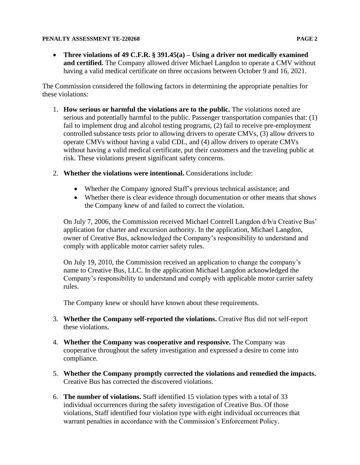• **Three violations of 49 C.F.R. § 391.45(a) – Using a driver not medically examined and certified.** The Company allowed driver Michael Langdon to operate a CMV without having a valid medical certificate on three occasions between October 9 and 16, 2021.

The Commission considered the following factors in determining the appropriate penalties for these violations:

- 1. **How serious or harmful the violations are to the public.** The violations noted are serious and potentially harmful to the public. Passenger transportation companies that: (1) fail to implement drug and alcohol testing programs, (2) fail to receive pre-employment controlled substance tests prior to allowing drivers to operate CMVs, (3) allow drivers to operate CMVs without having a valid CDL, and (4) allow drivers to operate CMVs without having a valid medical certificate, put their customers and the traveling public at risk. These violations present significant safety concerns.
- 2. **Whether the violations were intentional.** Considerations include:
	- Whether the Company ignored Staff's previous technical assistance; and
	- Whether there is clear evidence through documentation or other means that shows the Company knew of and failed to correct the violation.

On July 7, 2006, the Commission received Michael Contrell Langdon d/b/a Creative Bus' application for charter and excursion authority. In the application, Michael Langdon, owner of Creative Bus, acknowledged the Company's responsibility to understand and comply with applicable motor carrier safety rules.

On July 19, 2010, the Commission received an application to change the company's name to Creative Bus, LLC. In the application Michael Langdon acknowledged the Company's responsibility to understand and comply with applicable motor carrier safety rules.

The Company knew or should have known about these requirements.

- 3. **Whether the Company self-reported the violations.** Creative Bus did not self-report these violations.
- 4. **Whether the Company was cooperative and responsive.** The Company was cooperative throughout the safety investigation and expressed a desire to come into compliance.
- 5. **Whether the Company promptly corrected the violations and remedied the impacts.**  Creative Bus has corrected the discovered violations.
- 6. **The number of violations.** Staff identified 15 violation types with a total of 33 individual occurrences during the safety investigation of Creative Bus. Of those violations, Staff identified four violation type with eight individual occurrences that warrant penalties in accordance with the Commission's Enforcement Policy.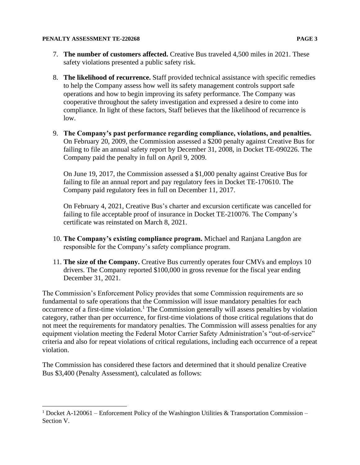- 8. **The likelihood of recurrence.** Staff provided technical assistance with specific remedies to help the Company assess how well its safety management controls support safe operations and how to begin improving its safety performance. The Company was cooperative throughout the safety investigation and expressed a desire to come into compliance. In light of these factors, Staff believes that the likelihood of recurrence is low.
- 9. **The Company's past performance regarding compliance, violations, and penalties.**  On February 20, 2009, the Commission assessed a \$200 penalty against Creative Bus for failing to file an annual safety report by December 31, 2008, in Docket TE-090226. The Company paid the penalty in full on April 9, 2009.

On June 19, 2017, the Commission assessed a \$1,000 penalty against Creative Bus for failing to file an annual report and pay regulatory fees in Docket TE-170610. The Company paid regulatory fees in full on December 11, 2017.

On February 4, 2021, Creative Bus's charter and excursion certificate was cancelled for failing to file acceptable proof of insurance in Docket TE-210076. The Company's certificate was reinstated on March 8, 2021.

- 10. **The Company's existing compliance program.** Michael and Ranjana Langdon are responsible for the Company's safety compliance program.
- 11. **The size of the Company.** Creative Bus currently operates four CMVs and employs 10 drivers. The Company reported \$100,000 in gross revenue for the fiscal year ending December 31, 2021.

The Commission's Enforcement Policy provides that some Commission requirements are so fundamental to safe operations that the Commission will issue mandatory penalties for each occurrence of a first-time violation.<sup>1</sup> The Commission generally will assess penalties by violation category, rather than per occurrence, for first-time violations of those critical regulations that do not meet the requirements for mandatory penalties. The Commission will assess penalties for any equipment violation meeting the Federal Motor Carrier Safety Administration's "out-of-service" criteria and also for repeat violations of critical regulations, including each occurrence of a repeat violation.

The Commission has considered these factors and determined that it should penalize Creative Bus \$3,400 (Penalty Assessment), calculated as follows:

<sup>&</sup>lt;sup>1</sup> Docket A-120061 – Enforcement Policy of the Washington Utilities & Transportation Commission – Section V.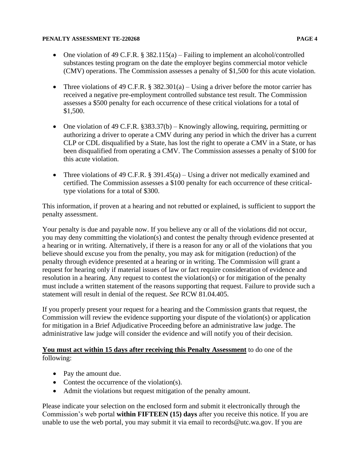- One violation of 49 C.F.R. § 382.115(a) Failing to implement an alcohol/controlled substances testing program on the date the employer begins commercial motor vehicle (CMV) operations. The Commission assesses a penalty of \$1,500 for this acute violation.
- Three violations of 49 C.F.R.  $\S 382.301(a) Using a driver before the motor carrier has$ received a negative pre-employment controlled substance test result. The Commission assesses a \$500 penalty for each occurrence of these critical violations for a total of \$1,500.
- One violation of 49 C.F.R. §383.37(b) Knowingly allowing, requiring, permitting or authorizing a driver to operate a CMV during any period in which the driver has a current CLP or CDL disqualified by a State, has lost the right to operate a CMV in a State, or has been disqualified from operating a CMV. The Commission assesses a penalty of \$100 for this acute violation.
- Three violations of 49 C.F.R. § 391.45(a) Using a driver not medically examined and certified. The Commission assesses a \$100 penalty for each occurrence of these criticaltype violations for a total of \$300.

This information, if proven at a hearing and not rebutted or explained, is sufficient to support the penalty assessment.

Your penalty is due and payable now. If you believe any or all of the violations did not occur, you may deny committing the violation(s) and contest the penalty through evidence presented at a hearing or in writing. Alternatively, if there is a reason for any or all of the violations that you believe should excuse you from the penalty, you may ask for mitigation (reduction) of the penalty through evidence presented at a hearing or in writing. The Commission will grant a request for hearing only if material issues of law or fact require consideration of evidence and resolution in a hearing. Any request to contest the violation(s) or for mitigation of the penalty must include a written statement of the reasons supporting that request. Failure to provide such a statement will result in denial of the request. *See* RCW 81.04.405.

If you properly present your request for a hearing and the Commission grants that request, the Commission will review the evidence supporting your dispute of the violation(s) or application for mitigation in a Brief Adjudicative Proceeding before an administrative law judge. The administrative law judge will consider the evidence and will notify you of their decision.

**You must act within 15 days after receiving this Penalty Assessment** to do one of the following:

- Pay the amount due.
- Contest the occurrence of the violation(s).
- Admit the violations but request mitigation of the penalty amount.

Please indicate your selection on the enclosed form and submit it electronically through the Commission's web portal **within FIFTEEN (15) days** after you receive this notice. If you are unable to use the web portal, you may submit it via email to records@utc.wa.gov. If you are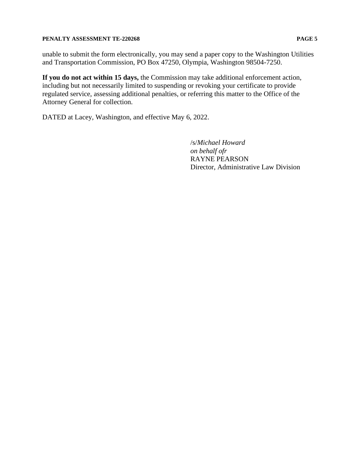unable to submit the form electronically, you may send a paper copy to the Washington Utilities and Transportation Commission, PO Box 47250, Olympia, Washington 98504-7250.

**If you do not act within 15 days,** the Commission may take additional enforcement action, including but not necessarily limited to suspending or revoking your certificate to provide regulated service, assessing additional penalties, or referring this matter to the Office of the Attorney General for collection.

DATED at Lacey, Washington, and effective May 6, 2022.

/s/*Michael Howard on behalf ofr* RAYNE PEARSON Director, Administrative Law Division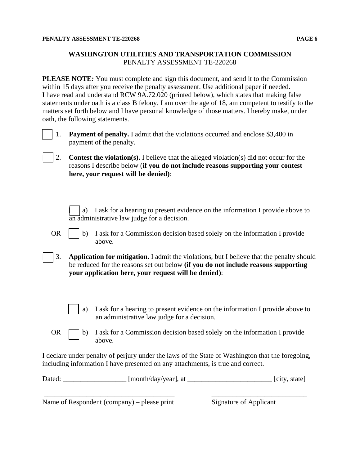## **WASHINGTON UTILITIES AND TRANSPORTATION COMMISSION** PENALTY ASSESSMENT TE-220268

**PLEASE NOTE***:* You must complete and sign this document, and send it to the Commission within 15 days after you receive the penalty assessment. Use additional paper if needed. I have read and understand RCW 9A.72.020 (printed below), which states that making false statements under oath is a class B felony. I am over the age of 18, am competent to testify to the matters set forth below and I have personal knowledge of those matters. I hereby make, under oath, the following statements.



[ ] 1. **Payment of penalty.** I admit that the violations occurred and enclose \$3,400 in payment of the penalty.

- [ ] 2. **Contest the violation(s).** I believe that the alleged violation(s) did not occur for the reasons I describe below (**if you do not include reasons supporting your contest here, your request will be denied)**:
	- a) I ask for a hearing to present evidence on the information I provide above to an administrative law judge for a decision.
- OR  $\parallel$  b) I ask for a Commission decision based solely on the information I provide above.
- [ ] 3. **Application for mitigation.** I admit the violations, but I believe that the penalty should be reduced for the reasons set out below **(if you do not include reasons supporting your application here, your request will be denied)**:
	- a) I ask for a hearing to present evidence on the information I provide above to an administrative law judge for a decision.
- OR  $\Box$  b) I ask for a Commission decision based solely on the information I provide above.

I declare under penalty of perjury under the laws of the State of Washington that the foregoing, including information I have presented on any attachments, is true and correct.

| Dated: | [month/day/year], at |  | [city, state] |
|--------|----------------------|--|---------------|
|--------|----------------------|--|---------------|

\_\_\_\_\_\_\_\_\_\_\_\_\_\_\_\_\_\_\_\_\_\_\_\_\_\_\_\_\_\_\_\_\_\_\_\_\_ \_\_\_\_\_\_\_\_\_\_\_\_\_\_\_\_\_\_\_\_\_\_\_\_\_\_\_

Name of Respondent (company) – please print Signature of Applicant